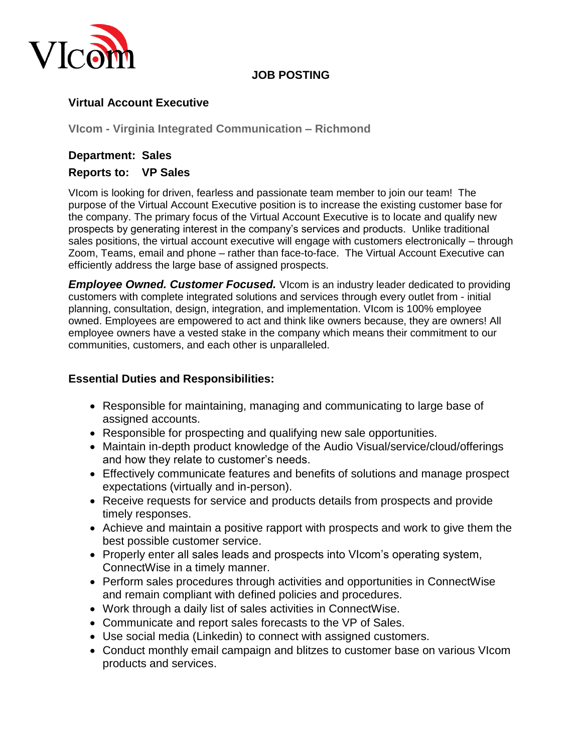

### **JOB POSTING**

## **Virtual Account Executive**

**VIcom - Virginia Integrated Communication – Richmond**

### **Department: Sales Reports to: VP Sales**

VIcom is looking for driven, fearless and passionate team member to join our team! The purpose of the Virtual Account Executive position is to increase the existing customer base for the company. The primary focus of the Virtual Account Executive is to locate and qualify new prospects by generating interest in the company's services and products. Unlike traditional sales positions, the virtual account executive will engage with customers electronically – through Zoom, Teams, email and phone – rather than face-to-face. The Virtual Account Executive can efficiently address the large base of assigned prospects.

**Employee Owned. Customer Focused.** Vicom is an industry leader dedicated to providing customers with complete integrated solutions and services through every outlet from - initial planning, consultation, design, integration, and implementation. VIcom is 100% employee owned. Employees are empowered to act and think like owners because, they are owners! All employee owners have a vested stake in the company which means their commitment to our communities, customers, and each other is unparalleled.

### **Essential Duties and Responsibilities:**

- Responsible for maintaining, managing and communicating to large base of assigned accounts.
- Responsible for prospecting and qualifying new sale opportunities.
- Maintain in-depth product knowledge of the Audio Visual/service/cloud/offerings and how they relate to customer's needs.
- Effectively communicate features and benefits of solutions and manage prospect expectations (virtually and in-person).
- Receive requests for service and products details from prospects and provide timely responses.
- Achieve and maintain a positive rapport with prospects and work to give them the best possible customer service.
- Properly enter all sales leads and prospects into VIcom's operating system, ConnectWise in a timely manner.
- Perform sales procedures through activities and opportunities in ConnectWise and remain compliant with defined policies and procedures.
- Work through a daily list of sales activities in ConnectWise.
- Communicate and report sales forecasts to the VP of Sales.
- Use social media (Linkedin) to connect with assigned customers.
- Conduct monthly email campaign and blitzes to customer base on various VIcom products and services.